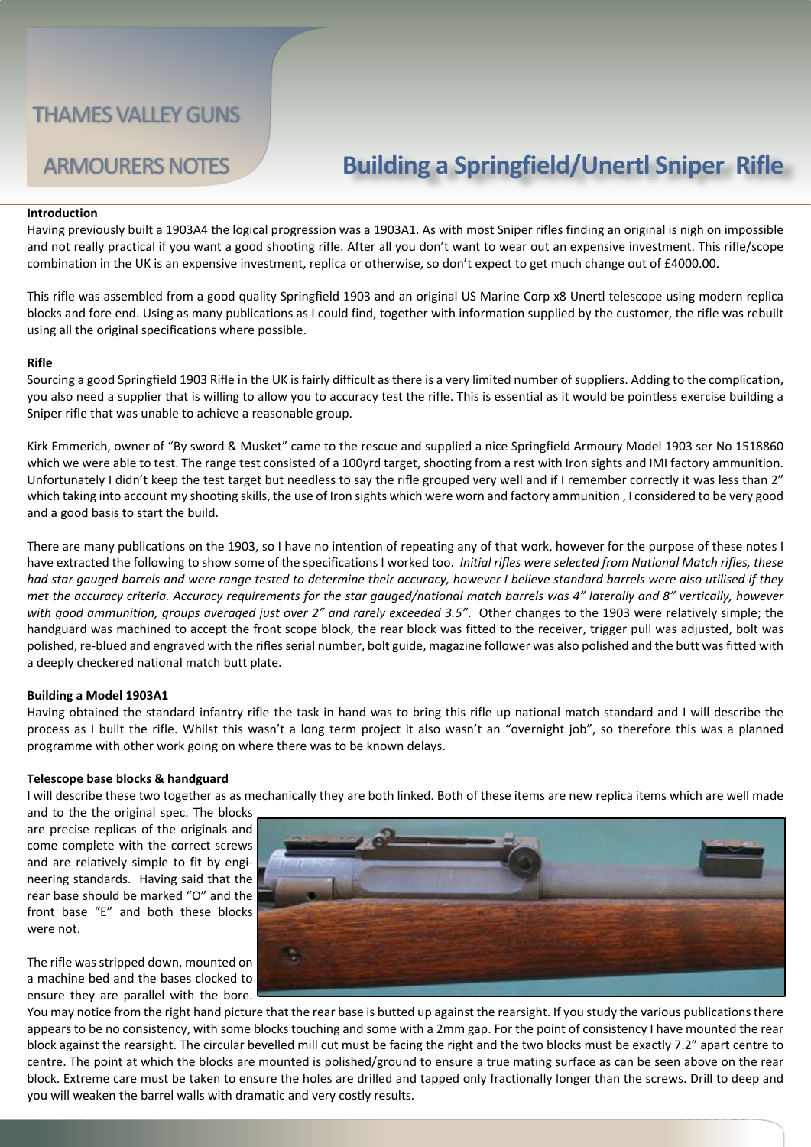# ARMOURERS NOTES **Building a Springfield/Unertl Sniper Rifle**

### **Introduction**

Having previously built a 1903A4 the logical progression was a 1903A1. As with most Sniper rifles finding an original is nigh on impossible and not really practical if you want a good shooting rifle. After all you don't want to wear out an expensive investment. This rifle/scope combination in the UK is an expensive investment, replica or otherwise, so don't expect to get much change out of £4000.00.

This rifle was assembled from a good quality Springfield 1903 and an original US Marine Corp x8 Unertl telescope using modern replica blocks and fore end. Using as many publications as I could find, together with information supplied by the customer, the rifle was rebuilt using all the original specifications where possible.

### **Rifle**

Sourcing a good Springfield 1903 Rifle in the UK is fairly difficult as there is a very limited number of suppliers. Adding to the complication, you also need a supplier that is willing to allow you to accuracy test the rifle. This is essential as it would be pointless exercise building a Sniper rifle that was unable to achieve a reasonable group.

Kirk Emmerich, owner of "By sword & Musket" came to the rescue and supplied a nice Springfield Armoury Model 1903 ser No 1518860 which we were able to test. The range test consisted of a 100yrd target, shooting from a rest with Iron sights and IMI factory ammunition. Unfortunately I didn't keep the test target but needless to say the rifle grouped very well and if I remember correctly it was less than 2" which taking into account my shooting skills, the use of Iron sights which were worn and factory ammunition , I considered to be very good and a good basis to start the build.

There are many publications on the 1903, so I have no intention of repeating any of that work, however for the purpose of these notes I have extracted the following to show some of the specifications I worked too. *Initial rifles were selected from National Match rifles, these had star gauged barrels and were range tested to determine their accuracy, however I believe standard barrels were also utilised if they met the accuracy criteria. Accuracy requirements for the star gauged/national match barrels was 4" laterally and 8" vertically, however with good ammunition, groups averaged just over 2" and rarely exceeded 3.5"*. Other changes to the 1903 were relatively simple; the handguard was machined to accept the front scope block, the rear block was fitted to the receiver, trigger pull was adjusted, bolt was polished, re-blued and engraved with the rifles serial number, bolt guide, magazine follower was also polished and the butt was fitted with a deeply checkered national match butt plate.

### **Building a Model 1903A1**

Having obtained the standard infantry rifle the task in hand was to bring this rifle up national match standard and I will describe the process as I built the rifle. Whilst this wasn't a long term project it also wasn't an "overnight job", so therefore this was a planned programme with other work going on where there was to be known delays.

### **Telescope base blocks & handguard**

I will describe these two together as as mechanically they are both linked. Both of these items are new replica items which are well made

and to the the original spec. The blocks are precise replicas of the originals and come complete with the correct screws and are relatively simple to fit by engineering standards. Having said that the rear base should be marked "O" and the front base "E" and both these blocks were not.

The rifle was stripped down, mounted on a machine bed and the bases clocked to ensure they are parallel with the bore.



You may notice from the right hand picture that the rear base is butted up against the rearsight. If you study the various publications there appears to be no consistency, with some blocks touching and some with a 2mm gap. For the point of consistency I have mounted the rear block against the rearsight. The circular bevelled mill cut must be facing the right and the two blocks must be exactly 7.2" apart centre to centre. The point at which the blocks are mounted is polished/ground to ensure a true mating surface as can be seen above on the rear block. Extreme care must be taken to ensure the holes are drilled and tapped only fractionally longer than the screws. Drill to deep and you will weaken the barrel walls with dramatic and very costly results.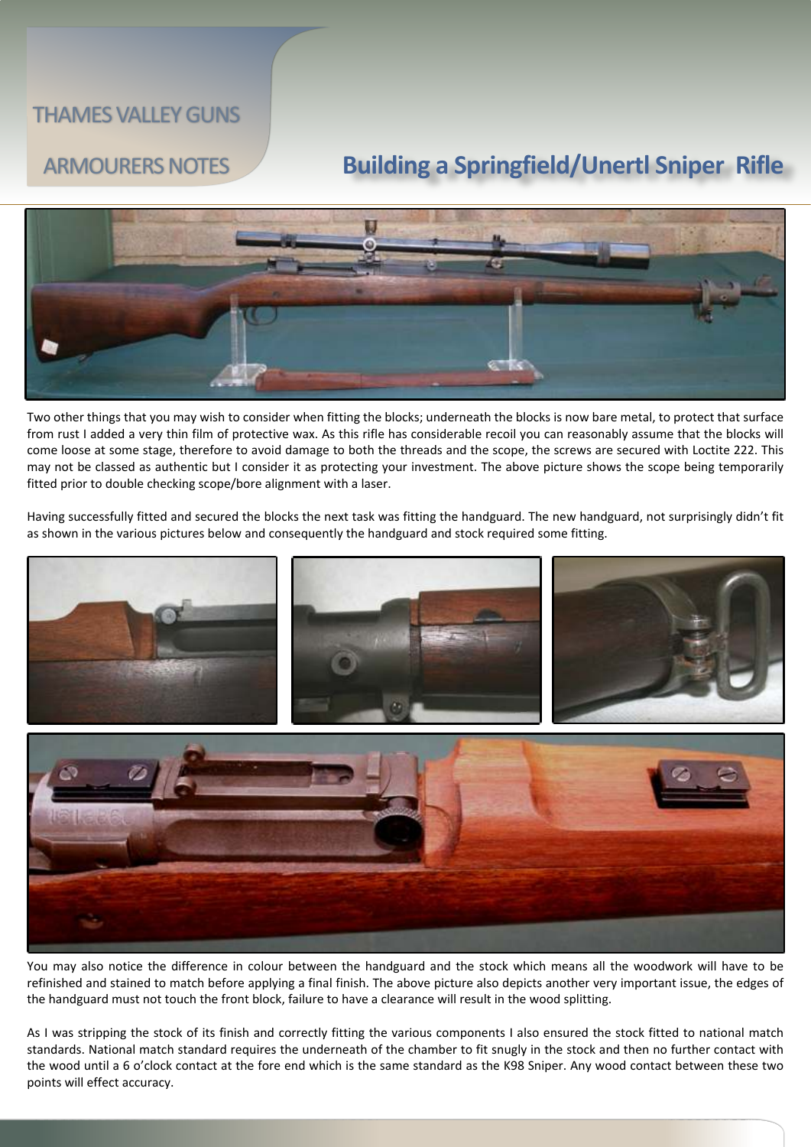# ARMOURERS NOTES **Building a Springfield/Unertl Sniper Rifle**



Two other things that you may wish to consider when fitting the blocks; underneath the blocks is now bare metal, to protect that surface from rust I added a very thin film of protective wax. As this rifle has considerable recoil you can reasonably assume that the blocks will come loose at some stage, therefore to avoid damage to both the threads and the scope, the screws are secured with Loctite 222. This may not be classed as authentic but I consider it as protecting your investment. The above picture shows the scope being temporarily fitted prior to double checking scope/bore alignment with a laser.

Having successfully fitted and secured the blocks the next task was fitting the handguard. The new handguard, not surprisingly didn't fit as shown in the various pictures below and consequently the handguard and stock required some fitting.



You may also notice the difference in colour between the handguard and the stock which means all the woodwork will have to be refinished and stained to match before applying a final finish. The above picture also depicts another very important issue, the edges of the handguard must not touch the front block, failure to have a clearance will result in the wood splitting.

As I was stripping the stock of its finish and correctly fitting the various components I also ensured the stock fitted to national match standards. National match standard requires the underneath of the chamber to fit snugly in the stock and then no further contact with the wood until a 6 o'clock contact at the fore end which is the same standard as the K98 Sniper. Any wood contact between these two points will effect accuracy.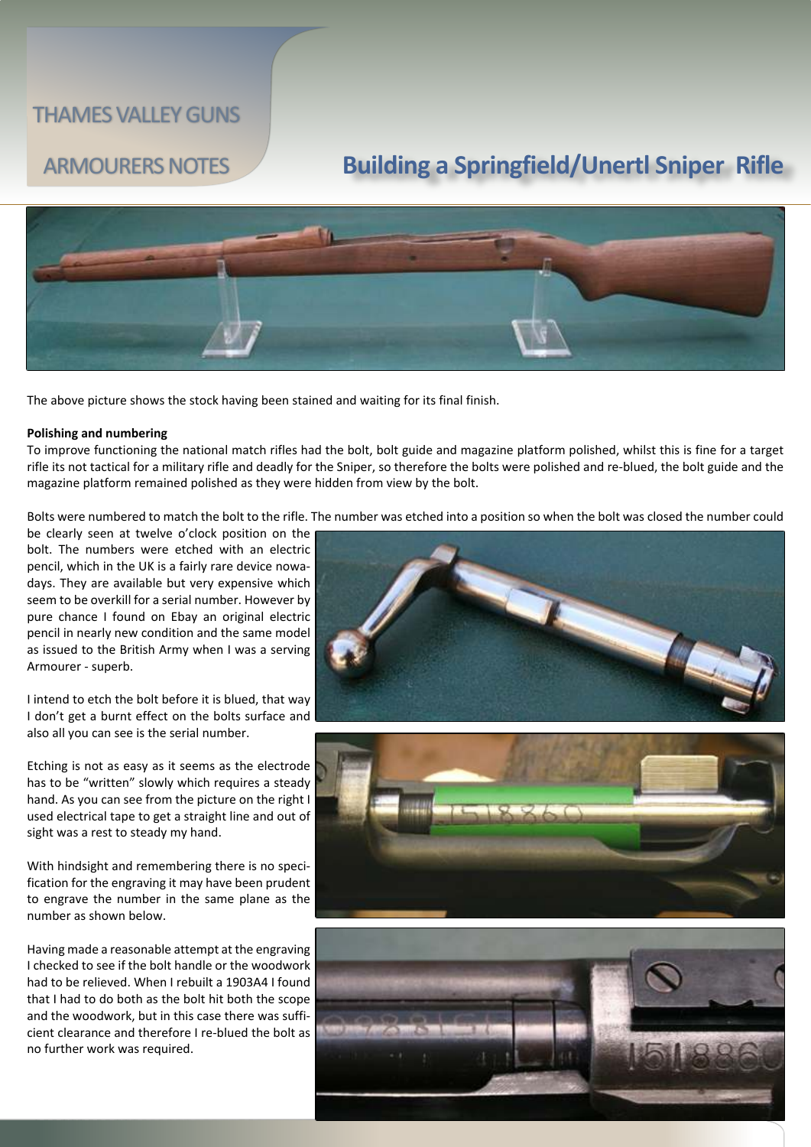# ARMOURERS NOTES **Building a Springfield/Unertl Sniper Rifle**



The above picture shows the stock having been stained and waiting for its final finish.

### **Polishing and numbering**

To improve functioning the national match rifles had the bolt, bolt guide and magazine platform polished, whilst this is fine for a target rifle its not tactical for a military rifle and deadly for the Sniper, so therefore the bolts were polished and re-blued, the bolt guide and the magazine platform remained polished as they were hidden from view by the bolt.

Bolts were numbered to match the bolt to the rifle. The number was etched into a position so when the bolt was closed the number could

be clearly seen at twelve o'clock position on the bolt. The numbers were etched with an electric pencil, which in the UK is a fairly rare device nowadays. They are available but very expensive which seem to be overkill for a serial number. However by pure chance I found on Ebay an original electric pencil in nearly new condition and the same model as issued to the British Army when I was a serving Armourer - superb.

I intend to etch the bolt before it is blued, that way I don't get a burnt effect on the bolts surface and also all you can see is the serial number.

Etching is not as easy as it seems as the electrode has to be "written" slowly which requires a steady hand. As you can see from the picture on the right I used electrical tape to get a straight line and out of sight was a rest to steady my hand.

With hindsight and remembering there is no specification for the engraving it may have been prudent to engrave the number in the same plane as the number as shown below.

Having made a reasonable attempt at the engraving I checked to see if the bolt handle or the woodwork had to be relieved. When I rebuilt a 1903A4 I found that I had to do both as the bolt hit both the scope and the woodwork, but in this case there was sufficient clearance and therefore I re-blued the bolt as no further work was required.





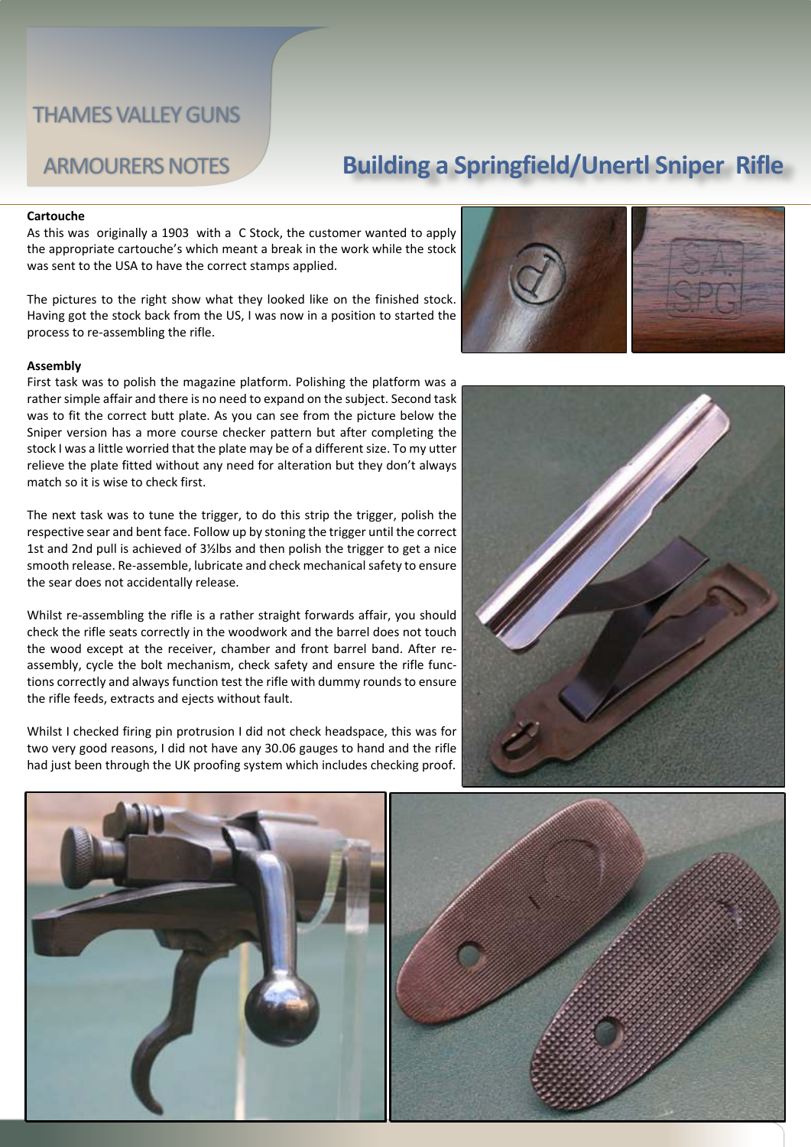# ARMOURERS NOTES **Building a Springfield/Unertl Sniper Rifle**

#### **Cartouche**

As this was originally a 1903 with a C Stock, the customer wanted to apply the appropriate cartouche's which meant a break in the work while the stock was sent to the USA to have the correct stamps applied.

The pictures to the right show what they looked like on the finished stock. Having got the stock back from the US, I was now in a position to started the process to re-assembling the rifle.

#### **Assembly**

First task was to polish the magazine platform. Polishing the platform was a rather simple affair and there is no need to expand on the subject. Second task was to fit the correct butt plate. As you can see from the picture below the Sniper version has a more course checker pattern but after completing the stock I was a little worried that the plate may be of a different size. To my utter relieve the plate fitted without any need for alteration but they don't always match so it is wise to check first.

The next task was to tune the trigger, to do this strip the trigger, polish the respective sear and bent face. Follow up by stoning the trigger until the correct 1st and 2nd pull is achieved of 3½lbs and then polish the trigger to get a nice smooth release. Re-assemble, lubricate and check mechanical safety to ensure the sear does not accidentally release.

Whilst re-assembling the rifle is a rather straight forwards affair, you should check the rifle seats correctly in the woodwork and the barrel does not touch the wood except at the receiver, chamber and front barrel band. After reassembly, cycle the bolt mechanism, check safety and ensure the rifle functions correctly and always function test the rifle with dummy rounds to ensure the rifle feeds, extracts and ejects without fault.

Whilst I checked firing pin protrusion I did not check headspace, this was for two very good reasons, I did not have any 30.06 gauges to hand and the rifle had just been through the UK proofing system which includes checking proof.